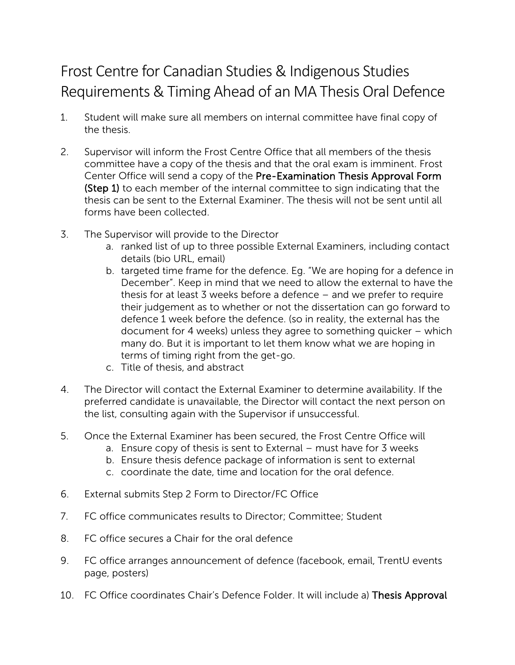## Requirements & Timing Ahead of an MA Thesis Oral Defence Frost Centre for Canadian Studies & Indigenous Studies

- the thesis. 1. Student will make sure all members on internal committee have final copy of
- 2. Supervisor will inform the Frost Centre Office that all members of the thesis committee have a copy of the thesis and that the oral exam is imminent. Frost Center Office will send a copy of the Pre-Examination Thesis Approval Form (Step 1) to each member of the internal committee to sign indicating that the thesis can be sent to the External Examiner. The thesis will not be sent until all forms have been collected.
- 3. The Supervisor will provide to the Director
	- a. ranked list of up to three possible External Examiners, including contact details (bio URL, email)
	- thesis for at least 3 weeks before a defence and we prefer to require b. targeted time frame for the defence. Eg. "We are hoping for a defence in December". Keep in mind that we need to allow the external to have the their judgement as to whether or not the dissertation can go forward to defence 1 week before the defence. (so in reality, the external has the document for 4 weeks) unless they agree to something quicker – which many do. But it is important to let them know what we are hoping in terms of timing right from the get-go.
	- c. Title of thesis, and abstract
- 4. The Director will contact the External Examiner to determine availability. If the preferred candidate is unavailable, the Director will contact the next person on the list, consulting again with the Supervisor if unsuccessful.
- 5. Once the External Examiner has been secured, the Frost Centre Office will
	- a. Ensure copy of thesis is sent to External must have for 3 weeks
	- b. Ensure thesis defence package of information is sent to external
	- c. coordinate the date, time and location for the oral defence.
- 6. External submits Step 2 Form to Director/FC Office
- 7. FC office communicates results to Director; Committee; Student
- 8. FC office secures a Chair for the oral defence
- 9. FC office arranges announcement of defence (facebook, email, TrentU events page, posters)
- 10. FC Office coordinates Chair's Defence Folder. It will include a) Thesis Approval